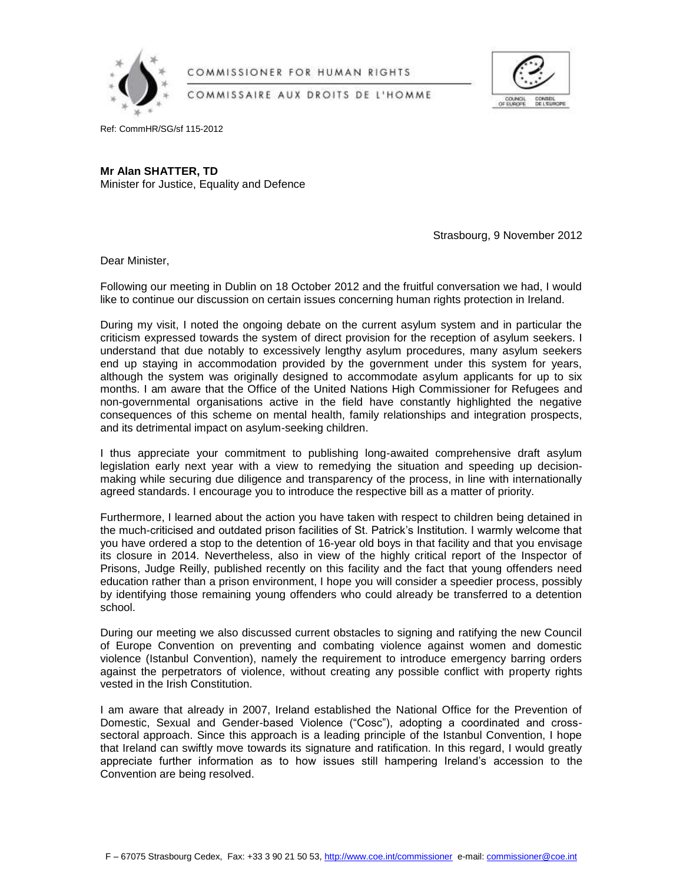

COMMISSIONER FOR HUMAN RIGHTS

COMMISSAIRE AUX DROITS DE L'HOMME



Ref: CommHR/SG/sf 115-2012

**Mr Alan SHATTER, TD** Minister for Justice, Equality and Defence

Strasbourg, 9 November 2012

Dear Minister,

Following our meeting in Dublin on 18 October 2012 and the fruitful conversation we had, I would like to continue our discussion on certain issues concerning human rights protection in Ireland.

During my visit, I noted the ongoing debate on the current asylum system and in particular the criticism expressed towards the system of direct provision for the reception of asylum seekers. I understand that due notably to excessively lengthy asylum procedures, many asylum seekers end up staying in accommodation provided by the government under this system for years, although the system was originally designed to accommodate asylum applicants for up to six months. I am aware that the Office of the United Nations High Commissioner for Refugees and non-governmental organisations active in the field have constantly highlighted the negative consequences of this scheme on mental health, family relationships and integration prospects, and its detrimental impact on asylum-seeking children.

I thus appreciate your commitment to publishing long-awaited comprehensive draft asylum legislation early next year with a view to remedying the situation and speeding up decisionmaking while securing due diligence and transparency of the process, in line with internationally agreed standards. I encourage you to introduce the respective bill as a matter of priority.

Furthermore, I learned about the action you have taken with respect to children being detained in the much-criticised and outdated prison facilities of St. Patrick's Institution. I warmly welcome that you have ordered a stop to the detention of 16-year old boys in that facility and that you envisage its closure in 2014. Nevertheless, also in view of the highly critical report of the Inspector of Prisons, Judge Reilly, published recently on this facility and the fact that young offenders need education rather than a prison environment, I hope you will consider a speedier process, possibly by identifying those remaining young offenders who could already be transferred to a detention school.

During our meeting we also discussed current obstacles to signing and ratifying the new Council of Europe Convention on preventing and combating violence against women and domestic violence (Istanbul Convention), namely the requirement to introduce emergency barring orders against the perpetrators of violence, without creating any possible conflict with property rights vested in the Irish Constitution.

I am aware that already in 2007, Ireland established the National Office for the Prevention of Domestic, Sexual and Gender-based Violence ("Cosc"), adopting a coordinated and crosssectoral approach. Since this approach is a leading principle of the Istanbul Convention, I hope that Ireland can swiftly move towards its signature and ratification. In this regard, I would greatly appreciate further information as to how issues still hampering Ireland's accession to the Convention are being resolved.